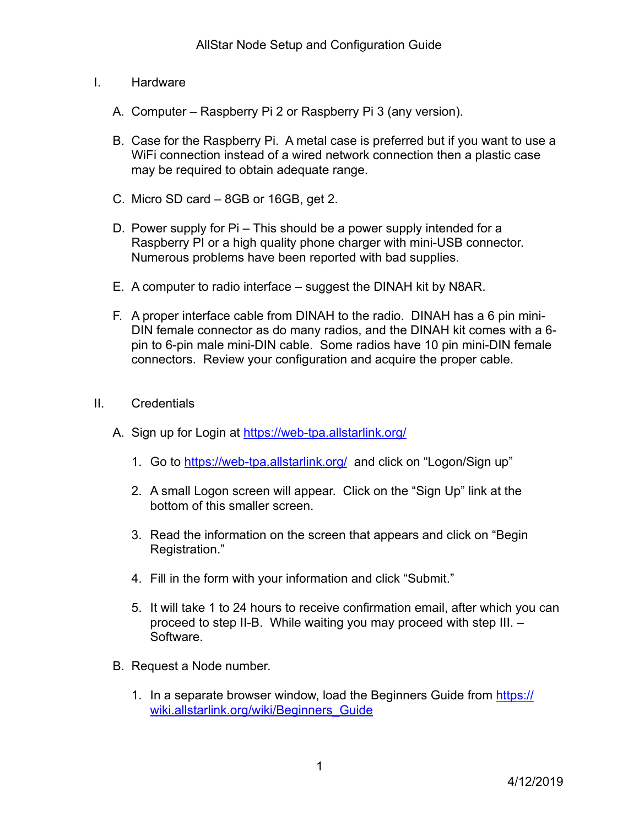- I. Hardware
	- A. Computer Raspberry Pi 2 or Raspberry Pi 3 (any version).
	- B. Case for the Raspberry Pi. A metal case is preferred but if you want to use a WiFi connection instead of a wired network connection then a plastic case may be required to obtain adequate range.
	- C. Micro SD card 8GB or 16GB, get 2.
	- D. Power supply for Pi This should be a power supply intended for a Raspberry PI or a high quality phone charger with mini-USB connector. Numerous problems have been reported with bad supplies.
	- E. A computer to radio interface suggest the DINAH kit by N8AR.
	- F. A proper interface cable from DINAH to the radio. DINAH has a 6 pin mini-DIN female connector as do many radios, and the DINAH kit comes with a 6 pin to 6-pin male mini-DIN cable. Some radios have 10 pin mini-DIN female connectors. Review your configuration and acquire the proper cable.
- II. Credentials
	- A. Sign up for Login at<https://web-tpa.allstarlink.org/>
		- 1. Go to <https://web-tpa.allstarlink.org/> and click on "Logon/Sign up"
		- 2. A small Logon screen will appear. Click on the "Sign Up" link at the bottom of this smaller screen.
		- 3. Read the information on the screen that appears and click on "Begin Registration."
		- 4. Fill in the form with your information and click "Submit."
		- 5. It will take 1 to 24 hours to receive confirmation email, after which you can proceed to step II-B. While waiting you may proceed with step III. – Software.
	- B. Request a Node number.
		- 1. In a separate browser window, load the Beginners Guide from [https://](https://wiki.allstarlink.org/wiki/Beginners_Guide) [wiki.allstarlink.org/wiki/Beginners\\_Guide](https://wiki.allstarlink.org/wiki/Beginners_Guide)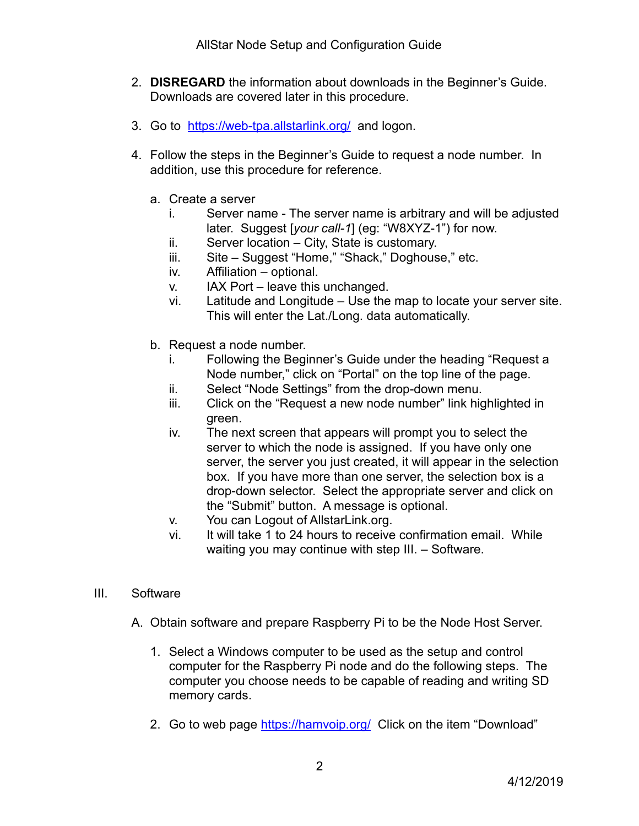- 2. **DISREGARD** the information about downloads in the Beginner's Guide. Downloads are covered later in this procedure.
- 3. Go to <https://web-tpa.allstarlink.org/> and logon.
- 4. Follow the steps in the Beginner's Guide to request a node number. In addition, use this procedure for reference.
	- a. Create a server
		- i. Server name The server name is arbitrary and will be adjusted later. Suggest [*your call-1*] (eg: "W8XYZ-1") for now.
		- ii. Server location City, State is customary.
		- iii. Site Suggest "Home," "Shack," Doghouse," etc.
		- iv. Affiliation optional.
		- v. IAX Port leave this unchanged.
		- vi. Latitude and Longitude Use the map to locate your server site. This will enter the Lat./Long. data automatically.
	- b. Request a node number.
		- i. Following the Beginner's Guide under the heading "Request a Node number," click on "Portal" on the top line of the page.
		- ii. Select "Node Settings" from the drop-down menu.
		- iii. Click on the "Request a new node number" link highlighted in green.
		- iv. The next screen that appears will prompt you to select the server to which the node is assigned. If you have only one server, the server you just created, it will appear in the selection box. If you have more than one server, the selection box is a drop-down selector. Select the appropriate server and click on the "Submit" button. A message is optional.
		- v. You can Logout of AllstarLink.org.
		- vi. It will take 1 to 24 hours to receive confirmation email. While waiting you may continue with step III. – Software.
- III. Software
	- A. Obtain software and prepare Raspberry Pi to be the Node Host Server.
		- 1. Select a Windows computer to be used as the setup and control computer for the Raspberry Pi node and do the following steps. The computer you choose needs to be capable of reading and writing SD memory cards.
		- 2. Go to web page<https://hamvoip.org/> Click on the item "Download"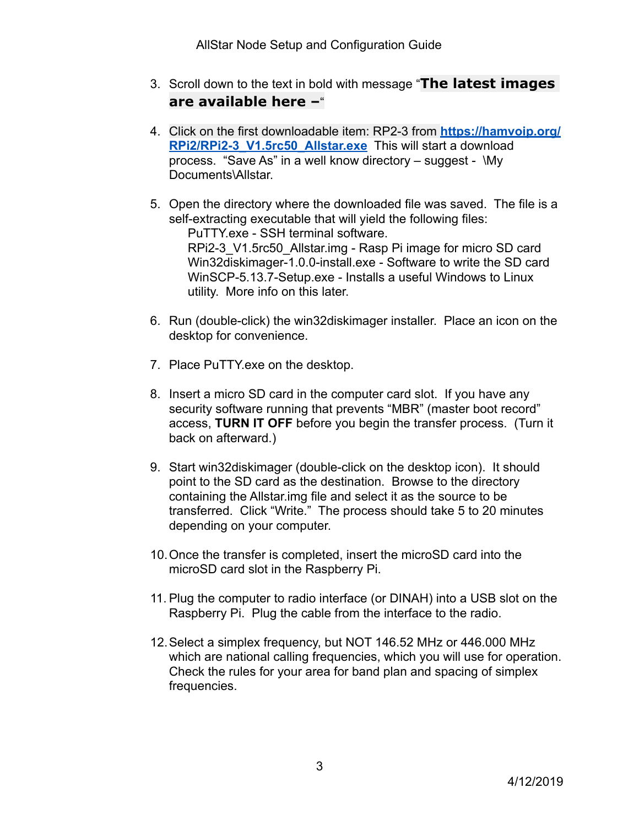- 3. Scroll down to the text in bold with message "**The latest images are available here –**"
- 4. Click on the first downloadable item: RP2-3 from **[https://hamvoip.org/](https://hamvoip.org/RPi2/RPi2-3_V1.5rc50_Allstar.exe) [RPi2/RPi2-3\\_V1.5rc50\\_Allstar.exe](https://hamvoip.org/RPi2/RPi2-3_V1.5rc50_Allstar.exe)** This will start a download process. "Save As" in a well know directory – suggest - \My Documents\Allstar.
- 5. Open the directory where the downloaded file was saved. The file is a self-extracting executable that will yield the following files: PuTTY.exe - SSH terminal software. RPi2-3 V1.5rc50 Allstar.img - Rasp Pi image for micro SD card Win32diskimager-1.0.0-install.exe - Software to write the SD card WinSCP-5.13.7-Setup.exe - Installs a useful Windows to Linux utility. More info on this later.
- 6. Run (double-click) the win32diskimager installer. Place an icon on the desktop for convenience.
- 7. Place PuTTY.exe on the desktop.
- 8. Insert a micro SD card in the computer card slot. If you have any security software running that prevents "MBR" (master boot record" access, **TURN IT OFF** before you begin the transfer process. (Turn it back on afterward.)
- 9. Start win32diskimager (double-click on the desktop icon). It should point to the SD card as the destination. Browse to the directory containing the Allstar.img file and select it as the source to be transferred. Click "Write." The process should take 5 to 20 minutes depending on your computer.
- 10.Once the transfer is completed, insert the microSD card into the microSD card slot in the Raspberry Pi.
- 11. Plug the computer to radio interface (or DINAH) into a USB slot on the Raspberry Pi. Plug the cable from the interface to the radio.
- 12.Select a simplex frequency, but NOT 146.52 MHz or 446.000 MHz which are national calling frequencies, which you will use for operation. Check the rules for your area for band plan and spacing of simplex frequencies.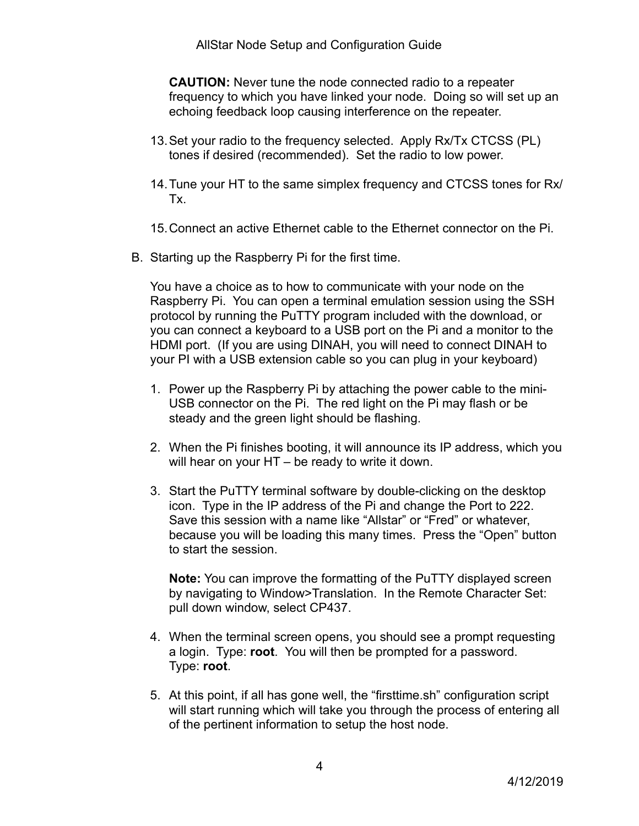**CAUTION:** Never tune the node connected radio to a repeater frequency to which you have linked your node. Doing so will set up an echoing feedback loop causing interference on the repeater.

- 13.Set your radio to the frequency selected. Apply Rx/Tx CTCSS (PL) tones if desired (recommended). Set the radio to low power.
- 14.Tune your HT to the same simplex frequency and CTCSS tones for Rx/ Tx.
- 15.Connect an active Ethernet cable to the Ethernet connector on the Pi.
- B. Starting up the Raspberry Pi for the first time.

You have a choice as to how to communicate with your node on the Raspberry Pi. You can open a terminal emulation session using the SSH protocol by running the PuTTY program included with the download, or you can connect a keyboard to a USB port on the Pi and a monitor to the HDMI port. (If you are using DINAH, you will need to connect DINAH to your PI with a USB extension cable so you can plug in your keyboard)

- 1. Power up the Raspberry Pi by attaching the power cable to the mini-USB connector on the Pi. The red light on the Pi may flash or be steady and the green light should be flashing.
- 2. When the Pi finishes booting, it will announce its IP address, which you will hear on your HT – be ready to write it down.
- 3. Start the PuTTY terminal software by double-clicking on the desktop icon. Type in the IP address of the Pi and change the Port to 222. Save this session with a name like "Allstar" or "Fred" or whatever, because you will be loading this many times. Press the "Open" button to start the session.

**Note:** You can improve the formatting of the PuTTY displayed screen by navigating to Window>Translation. In the Remote Character Set: pull down window, select CP437.

- 4. When the terminal screen opens, you should see a prompt requesting a login. Type: **root**.You will then be prompted for a password. Type: **root**.
- 5. At this point, if all has gone well, the "firsttime.sh" configuration script will start running which will take you through the process of entering all of the pertinent information to setup the host node.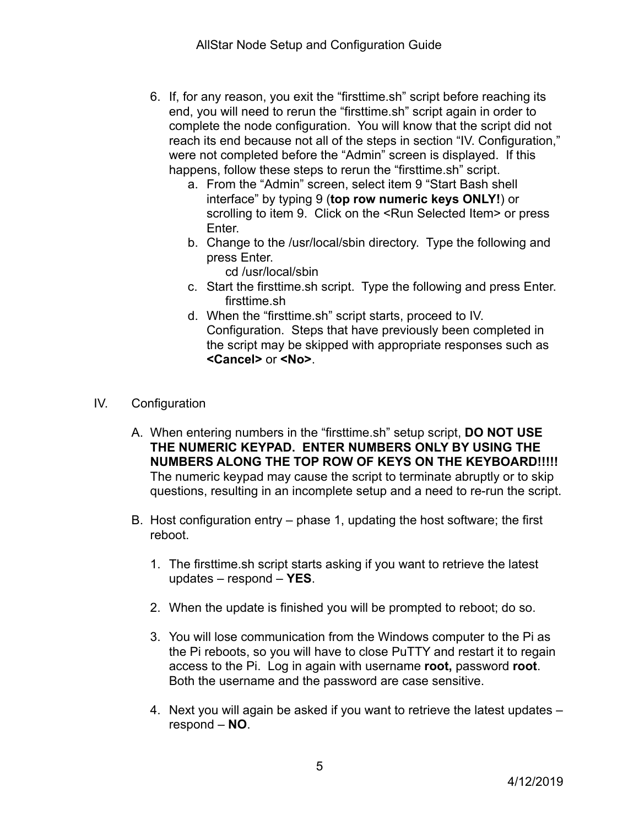- 6. If, for any reason, you exit the "firsttime.sh" script before reaching its end, you will need to rerun the "firsttime.sh" script again in order to complete the node configuration. You will know that the script did not reach its end because not all of the steps in section "IV. Configuration," were not completed before the "Admin" screen is displayed. If this happens, follow these steps to rerun the "firsttime.sh" script.
	- a. From the "Admin" screen, select item 9 "Start Bash shell interface" by typing 9 (**top row numeric keys ONLY!**) or scrolling to item 9. Click on the <Run Selected Item> or press Enter.
	- b. Change to the /usr/local/sbin directory. Type the following and press Enter.
		- cd /usr/local/sbin
	- c. Start the firsttime.sh script. Type the following and press Enter. firsttime.sh
	- d. When the "firsttime.sh" script starts, proceed to IV. Configuration. Steps that have previously been completed in the script may be skipped with appropriate responses such as **<Cancel>** or **<No>**.
- IV. Configuration
	- A. When entering numbers in the "firsttime.sh" setup script, **DO NOT USE THE NUMERIC KEYPAD. ENTER NUMBERS ONLY BY USING THE NUMBERS ALONG THE TOP ROW OF KEYS ON THE KEYBOARD!!!!!** The numeric keypad may cause the script to terminate abruptly or to skip questions, resulting in an incomplete setup and a need to re-run the script.
	- B. Host configuration entry phase 1, updating the host software; the first reboot.
		- 1. The firsttime.sh script starts asking if you want to retrieve the latest updates – respond – **YES**.
		- 2. When the update is finished you will be prompted to reboot; do so.
		- 3. You will lose communication from the Windows computer to the Pi as the Pi reboots, so you will have to close PuTTY and restart it to regain access to the Pi. Log in again with username **root,** password **root**. Both the username and the password are case sensitive.
		- 4. Next you will again be asked if you want to retrieve the latest updates respond – **NO**.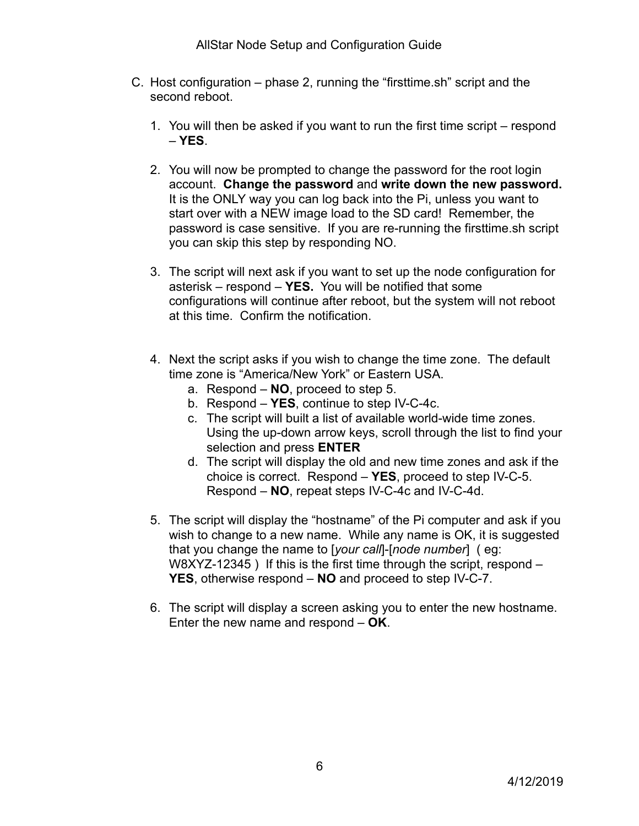- C. Host configuration phase 2, running the "firsttime.sh" script and the second reboot.
	- 1. You will then be asked if you want to run the first time script respond – **YES**.
	- 2. You will now be prompted to change the password for the root login account. **Change the password** and **write down the new password.** It is the ONLY way you can log back into the Pi, unless you want to start over with a NEW image load to the SD card! Remember, the password is case sensitive. If you are re-running the firsttime.sh script you can skip this step by responding NO.
	- 3. The script will next ask if you want to set up the node configuration for asterisk – respond – **YES.** You will be notified that some configurations will continue after reboot, but the system will not reboot at this time. Confirm the notification.
	- 4. Next the script asks if you wish to change the time zone. The default time zone is "America/New York" or Eastern USA.
		- a. Respond **NO**, proceed to step 5.
		- b. Respond **YES**, continue to step IV-C-4c.
		- c. The script will built a list of available world-wide time zones. Using the up-down arrow keys, scroll through the list to find your selection and press **ENTER**
		- d. The script will display the old and new time zones and ask if the choice is correct. Respond – **YES**, proceed to step IV-C-5. Respond – **NO**, repeat steps IV-C-4c and IV-C-4d.
	- 5. The script will display the "hostname" of the Pi computer and ask if you wish to change to a new name. While any name is OK, it is suggested that you change the name to [*your call*]-[*node number*] ( eg: W8XYZ-12345 ) If this is the first time through the script, respond – **YES**, otherwise respond – **NO** and proceed to step IV-C-7.
	- 6. The script will display a screen asking you to enter the new hostname. Enter the new name and respond – **OK**.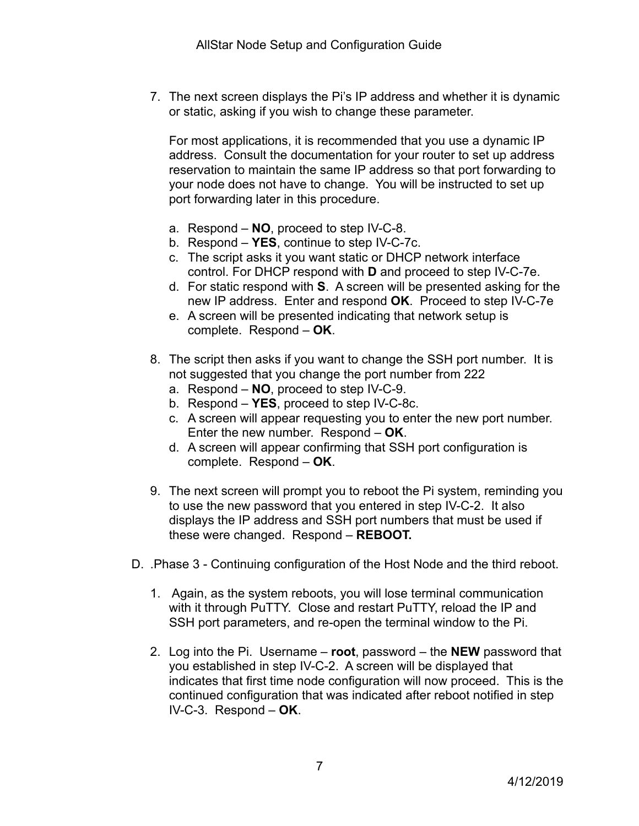7. The next screen displays the Pi's IP address and whether it is dynamic or static, asking if you wish to change these parameter.

For most applications, it is recommended that you use a dynamic IP address. Consult the documentation for your router to set up address reservation to maintain the same IP address so that port forwarding to your node does not have to change. You will be instructed to set up port forwarding later in this procedure.

- a. Respond **NO**, proceed to step IV-C-8.
- b. Respond **YES**, continue to step IV-C-7c.
- c. The script asks it you want static or DHCP network interface control. For DHCP respond with **D** and proceed to step IV-C-7e.
- d. For static respond with **S**. A screen will be presented asking for the new IP address. Enter and respond **OK**. Proceed to step IV-C-7e
- e. A screen will be presented indicating that network setup is complete. Respond – **OK**.
- 8. The script then asks if you want to change the SSH port number. It is not suggested that you change the port number from 222
	- a. Respond **NO**, proceed to step IV-C-9.
	- b. Respond **YES**, proceed to step IV-C-8c.
	- c. A screen will appear requesting you to enter the new port number. Enter the new number. Respond – **OK**.
	- d. A screen will appear confirming that SSH port configuration is complete. Respond – **OK**.
- 9. The next screen will prompt you to reboot the Pi system, reminding you to use the new password that you entered in step IV-C-2. It also displays the IP address and SSH port numbers that must be used if these were changed. Respond – **REBOOT.**
- D. .Phase 3 Continuing configuration of the Host Node and the third reboot.
	- 1. Again, as the system reboots, you will lose terminal communication with it through PuTTY. Close and restart PuTTY, reload the IP and SSH port parameters, and re-open the terminal window to the Pi.
	- 2. Log into the Pi. Username **root**, password the **NEW** password that you established in step IV-C-2. A screen will be displayed that indicates that first time node configuration will now proceed. This is the continued configuration that was indicated after reboot notified in step IV-C-3. Respond – **OK**.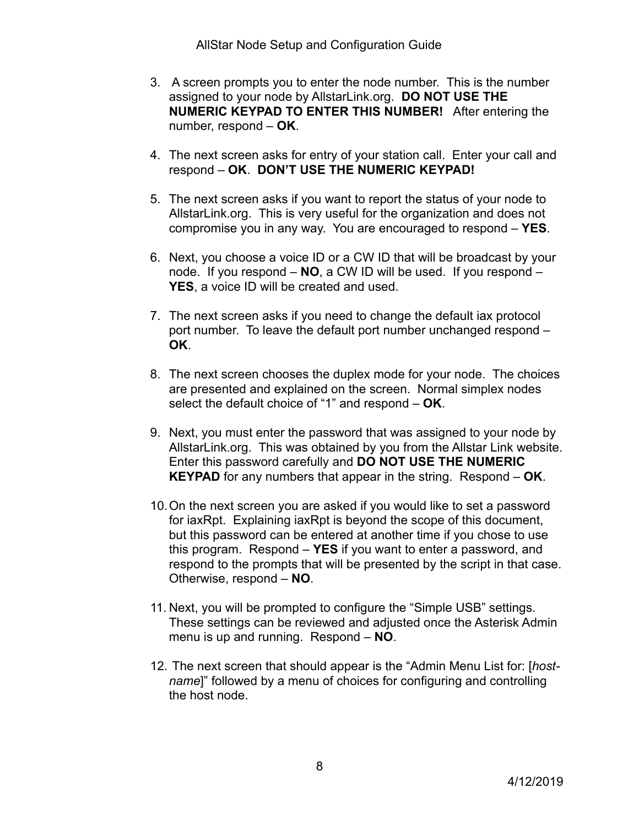- 3. A screen prompts you to enter the node number. This is the number assigned to your node by AllstarLink.org. **DO NOT USE THE NUMERIC KEYPAD TO ENTER THIS NUMBER!** After entering the number, respond – **OK**.
- 4. The next screen asks for entry of your station call. Enter your call and respond – **OK**. **DON'T USE THE NUMERIC KEYPAD!**
- 5. The next screen asks if you want to report the status of your node to AllstarLink.org. This is very useful for the organization and does not compromise you in any way. You are encouraged to respond – **YES**.
- 6. Next, you choose a voice ID or a CW ID that will be broadcast by your node. If you respond – **NO**, a CW ID will be used. If you respond – **YES**, a voice ID will be created and used.
- 7. The next screen asks if you need to change the default iax protocol port number. To leave the default port number unchanged respond – **OK**.
- 8. The next screen chooses the duplex mode for your node. The choices are presented and explained on the screen. Normal simplex nodes select the default choice of "1" and respond – **OK**.
- 9. Next, you must enter the password that was assigned to your node by AllstarLink.org. This was obtained by you from the Allstar Link website. Enter this password carefully and **DO NOT USE THE NUMERIC KEYPAD** for any numbers that appear in the string. Respond – **OK**.
- 10.On the next screen you are asked if you would like to set a password for iaxRpt. Explaining iaxRpt is beyond the scope of this document, but this password can be entered at another time if you chose to use this program. Respond – **YES** if you want to enter a password, and respond to the prompts that will be presented by the script in that case. Otherwise, respond – **NO**.
- 11. Next, you will be prompted to configure the "Simple USB" settings. These settings can be reviewed and adjusted once the Asterisk Admin menu is up and running. Respond – **NO**.
- 12. The next screen that should appear is the "Admin Menu List for: [*hostname*]" followed by a menu of choices for configuring and controlling the host node.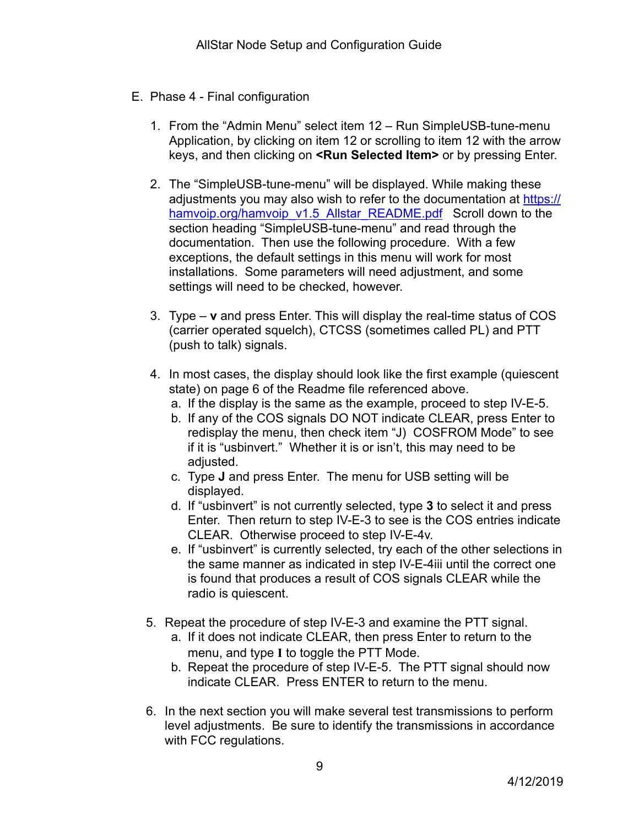## E. Phase 4 - Final configuration

- 1. From the "Admin Menu" select item 12 Run SimpleUSB-tune-menu Application, by clicking on item 12 or scrolling to item 12 with the arrow keys, and then clicking on **<Run Selected Item>** or by pressing Enter.
- 2. The "SimpleUSB-tune-menu" will be displayed. While making these adjustments you may also wish to refer to the documentation at [https://](https://hamvoip.org/hamvoip_v1.5_Allstar_README.pdf) [hamvoip.org/hamvoip\\_v1.5\\_Allstar\\_README.pdf](https://hamvoip.org/hamvoip_v1.5_Allstar_README.pdf) Scroll down to the section heading "SimpleUSB-tune-menu" and read through the documentation. Then use the following procedure. With a few exceptions, the default settings in this menu will work for most installations. Some parameters will need adjustment, and some settings will need to be checked, however.
- 3. Type **v** and press Enter. This will display the real-time status of COS (carrier operated squelch), CTCSS (sometimes called PL) and PTT (push to talk) signals.
- 4. In most cases, the display should look like the first example (quiescent state) on page 6 of the Readme file referenced above.
	- a. If the display is the same as the example, proceed to step IV-E-5.
	- b. If any of the COS signals DO NOT indicate CLEAR, press Enter to redisplay the menu, then check item "J) COSFROM Mode" to see if it is "usbinvert." Whether it is or isn't, this may need to be adiusted.
	- c. Type **J** and press Enter. The menu for USB setting will be displayed.
	- d. If "usbinvert" is not currently selected, type **3** to select it and press Enter. Then return to step IV-E-3 to see is the COS entries indicate CLEAR. Otherwise proceed to step IV-E-4v.
	- e. If "usbinvert" is currently selected, try each of the other selections in the same manner as indicated in step IV-E-4iii until the correct one is found that produces a result of COS signals CLEAR while the radio is quiescent.
- 5. Repeat the procedure of step IV-E-3 and examine the PTT signal.
	- a. If it does not indicate CLEAR, then press Enter to return to the menu, and type **I** to toggle the PTT Mode.
	- b. Repeat the procedure of step IV-E-5. The PTT signal should now indicate CLEAR. Press ENTER to return to the menu.
- 6. In the next section you will make several test transmissions to perform level adjustments. Be sure to identify the transmissions in accordance with FCC regulations.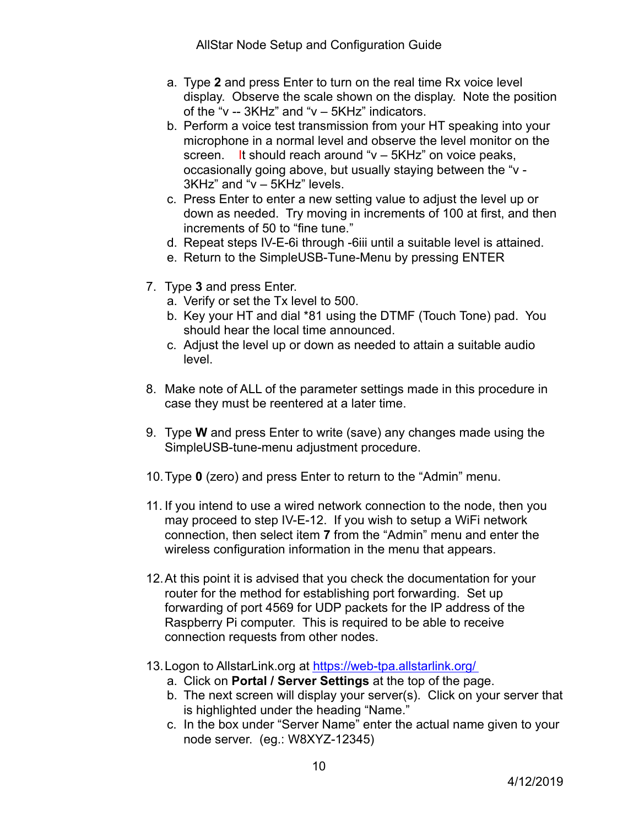- a. Type **2** and press Enter to turn on the real time Rx voice level display. Observe the scale shown on the display. Note the position of the "v -- 3KHz" and "v – 5KHz" indicators.
- b. Perform a voice test transmission from your HT speaking into your microphone in a normal level and observe the level monitor on the screen. It should reach around "v – 5KHz" on voice peaks, occasionally going above, but usually staying between the "v - 3KHz" and "v – 5KHz" levels.
- c. Press Enter to enter a new setting value to adjust the level up or down as needed. Try moving in increments of 100 at first, and then increments of 50 to "fine tune."
- d. Repeat steps IV-E-6i through -6iii until a suitable level is attained.
- e. Return to the SimpleUSB-Tune-Menu by pressing ENTER
- 7. Type **3** and press Enter.
	- a. Verify or set the Tx level to 500.
	- b. Key your HT and dial \*81 using the DTMF (Touch Tone) pad. You should hear the local time announced.
	- c. Adjust the level up or down as needed to attain a suitable audio level.
- 8. Make note of ALL of the parameter settings made in this procedure in case they must be reentered at a later time.
- 9. Type **W** and press Enter to write (save) any changes made using the SimpleUSB-tune-menu adjustment procedure.
- 10.Type **0** (zero) and press Enter to return to the "Admin" menu.
- 11. If you intend to use a wired network connection to the node, then you may proceed to step IV-E-12. If you wish to setup a WiFi network connection, then select item **7** from the "Admin" menu and enter the wireless configuration information in the menu that appears.
- 12.At this point it is advised that you check the documentation for your router for the method for establishing port forwarding. Set up forwarding of port 4569 for UDP packets for the IP address of the Raspberry Pi computer. This is required to be able to receive connection requests from other nodes.
- 13.Logon to AllstarLink.org at<https://web-tpa.allstarlink.org/>
	- a. Click on **Portal / Server Settings** at the top of the page.
	- b. The next screen will display your server(s). Click on your server that is highlighted under the heading "Name."
	- c. In the box under "Server Name" enter the actual name given to your node server. (eg.: W8XYZ-12345)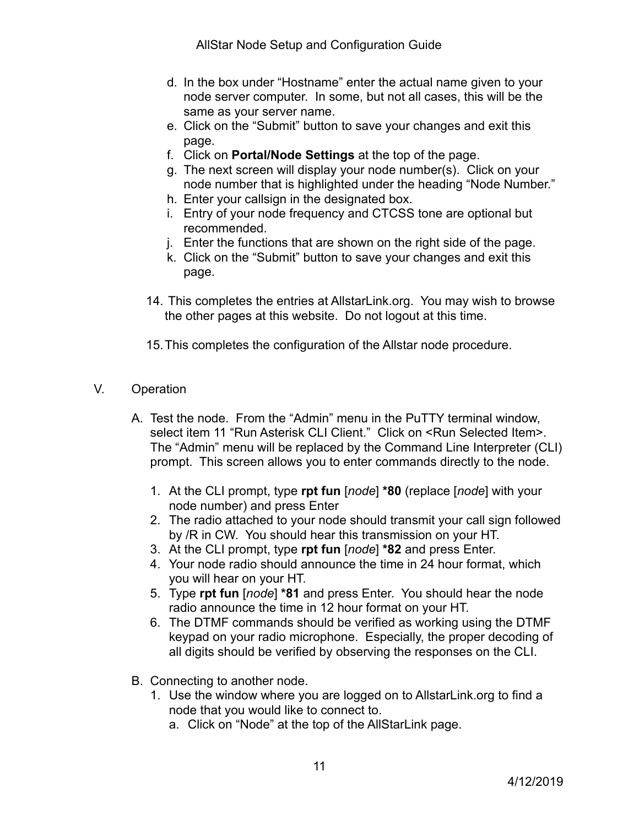AllStar Node Setup and Configuration Guide

- d. In the box under "Hostname" enter the actual name given to your node server computer. In some, but not all cases, this will be the same as your server name.
- e. Click on the "Submit" button to save your changes and exit this page.
- f. Click on **Portal/Node Settings** at the top of the page.
- g. The next screen will display your node number(s). Click on your node number that is highlighted under the heading "Node Number."
- h. Enter your callsign in the designated box.
- i. Entry of your node frequency and CTCSS tone are optional but recommended.
- j. Enter the functions that are shown on the right side of the page.
- k. Click on the "Submit" button to save your changes and exit this page.
- 14. This completes the entries at AllstarLink.org. You may wish to browse the other pages at this website. Do not logout at this time.

15.This completes the configuration of the Allstar node procedure.

- V. Operation
	- A. Test the node. From the "Admin" menu in the PuTTY terminal window, select item 11 "Run Asterisk CLI Client." Click on <Run Selected Item>. The "Admin" menu will be replaced by the Command Line Interpreter (CLI) prompt. This screen allows you to enter commands directly to the node.
		- 1. At the CLI prompt, type **rpt fun** [*node*] **\*80** (replace [*node*] with your node number) and press Enter
		- 2. The radio attached to your node should transmit your call sign followed by /R in CW. You should hear this transmission on your HT.
		- 3. At the CLI prompt, type **rpt fun** [*node*] **\*82** and press Enter.
		- 4. Your node radio should announce the time in 24 hour format, which you will hear on your HT.
		- 5. Type **rpt fun** [*node*] **\*81** and press Enter. You should hear the node radio announce the time in 12 hour format on your HT.
		- 6. The DTMF commands should be verified as working using the DTMF keypad on your radio microphone. Especially, the proper decoding of all digits should be verified by observing the responses on the CLI.
	- B. Connecting to another node.
		- 1. Use the window where you are logged on to AllstarLink.org to find a node that you would like to connect to.
			- a. Click on "Node" at the top of the AllStarLink page.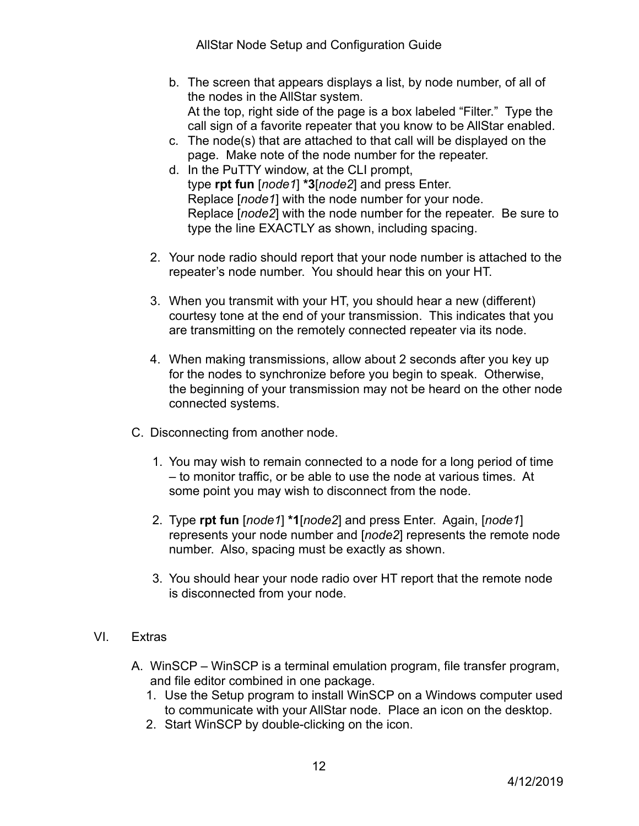AllStar Node Setup and Configuration Guide

- b. The screen that appears displays a list, by node number, of all of the nodes in the AllStar system. At the top, right side of the page is a box labeled "Filter." Type the call sign of a favorite repeater that you know to be AllStar enabled.
- c. The node(s) that are attached to that call will be displayed on the page. Make note of the node number for the repeater.
- d. In the PuTTY window, at the CLI prompt, type **rpt fun** [*node1*] **\*3**[*node2*] and press Enter. Replace [*node1*] with the node number for your node. Replace [*node2*] with the node number for the repeater. Be sure to type the line EXACTLY as shown, including spacing.
- 2. Your node radio should report that your node number is attached to the repeater's node number. You should hear this on your HT.
- 3. When you transmit with your HT, you should hear a new (different) courtesy tone at the end of your transmission. This indicates that you are transmitting on the remotely connected repeater via its node.
- 4. When making transmissions, allow about 2 seconds after you key up for the nodes to synchronize before you begin to speak. Otherwise, the beginning of your transmission may not be heard on the other node connected systems.
- C. Disconnecting from another node.
	- 1. You may wish to remain connected to a node for a long period of time – to monitor traffic, or be able to use the node at various times. At some point you may wish to disconnect from the node.
	- 2. Type **rpt fun** [*node1*] **\*1**[*node2*] and press Enter. Again, [*node1*] represents your node number and [*node2*] represents the remote node number. Also, spacing must be exactly as shown.
	- 3. You should hear your node radio over HT report that the remote node is disconnected from your node.
- VI. Extras
	- A. WinSCP WinSCP is a terminal emulation program, file transfer program, and file editor combined in one package.
		- 1. Use the Setup program to install WinSCP on a Windows computer used to communicate with your AllStar node. Place an icon on the desktop.
		- 2. Start WinSCP by double-clicking on the icon.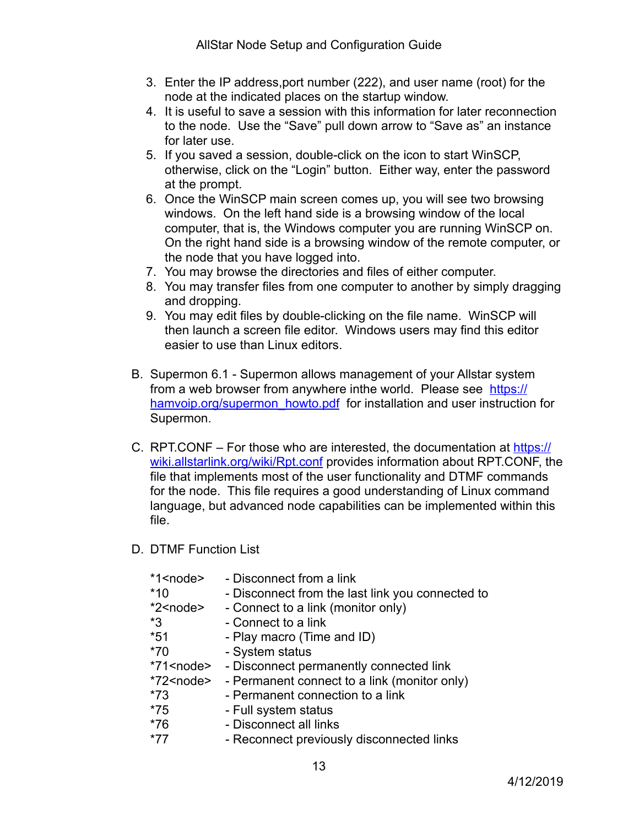- 3. Enter the IP address,port number (222), and user name (root) for the node at the indicated places on the startup window.
- 4. It is useful to save a session with this information for later reconnection to the node. Use the "Save" pull down arrow to "Save as" an instance for later use.
- 5. If you saved a session, double-click on the icon to start WinSCP, otherwise, click on the "Login" button. Either way, enter the password at the prompt.
- 6. Once the WinSCP main screen comes up, you will see two browsing windows. On the left hand side is a browsing window of the local computer, that is, the Windows computer you are running WinSCP on. On the right hand side is a browsing window of the remote computer, or the node that you have logged into.
- 7. You may browse the directories and files of either computer.
- 8. You may transfer files from one computer to another by simply dragging and dropping.
- 9. You may edit files by double-clicking on the file name. WinSCP will then launch a screen file editor. Windows users may find this editor easier to use than Linux editors.
- B. Supermon 6.1 Supermon allows management of your Allstar system from a web browser from anywhere inthe world. Please see [https://](https://hamvoip.org/supermon_howto.pdf) [hamvoip.org/supermon\\_howto.pdf](https://hamvoip.org/supermon_howto.pdf) for installation and user instruction for Supermon.
- C. RPT.CONF For those who are interested, the documentation at [https://](https://wiki.allstarlink.org/wiki/Rpt.conf) [wiki.allstarlink.org/wiki/Rpt.conf](https://wiki.allstarlink.org/wiki/Rpt.conf) provides information about RPT.CONF, the file that implements most of the user functionality and DTMF commands for the node. This file requires a good understanding of Linux command language, but advanced node capabilities can be implemented within this file.
- D. DTMF Function List

| - Disconnect from a link                                  |
|-----------------------------------------------------------|
| - Disconnect from the last link you connected to          |
| - Connect to a link (monitor only)                        |
| - Connect to a link                                       |
| - Play macro (Time and ID)                                |
| - System status                                           |
| *71 <node> - Disconnect permanently connected link</node> |
| - Permanent connect to a link (monitor only)              |
| - Permanent connection to a link                          |
| - Full system status                                      |
| - Disconnect all links                                    |
| - Reconnect previously disconnected links                 |
|                                                           |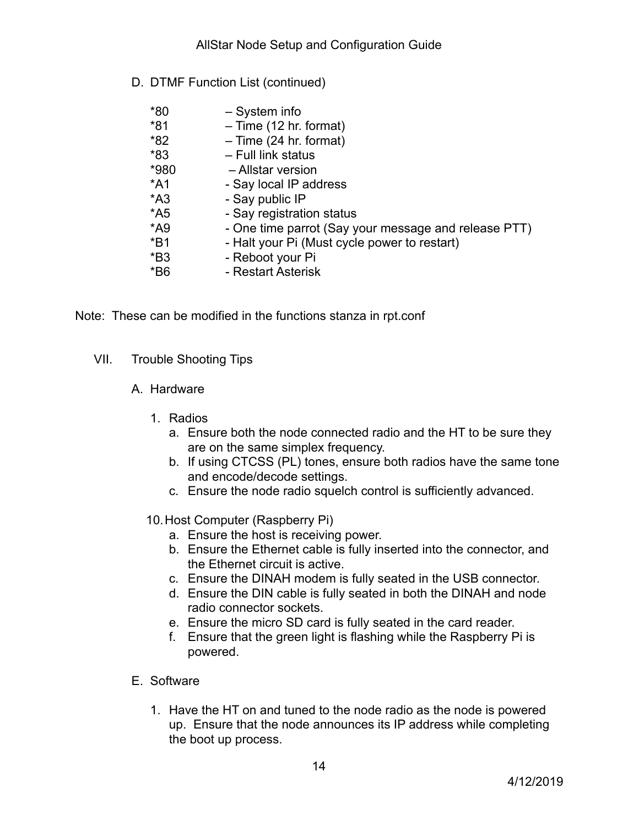D. DTMF Function List (continued)

| - System info                                        |
|------------------------------------------------------|
| $-$ Time (12 hr. format)                             |
| $-$ Time (24 hr. format)                             |
| - Full link status                                   |
| - Allstar version                                    |
| - Say local IP address                               |
| - Say public IP                                      |
| - Say registration status                            |
| - One time parrot (Say your message and release PTT) |
| - Halt your Pi (Must cycle power to restart)         |
| - Reboot your Pi                                     |
| - Restart Asterisk                                   |
|                                                      |

Note: These can be modified in the functions stanza in rpt.conf

- VII. Trouble Shooting Tips
	- A. Hardware
		- 1. Radios
			- a. Ensure both the node connected radio and the HT to be sure they are on the same simplex frequency.
			- b. If using CTCSS (PL) tones, ensure both radios have the same tone and encode/decode settings.
			- c. Ensure the node radio squelch control is sufficiently advanced.
		- 10.Host Computer (Raspberry Pi)
			- a. Ensure the host is receiving power.
			- b. Ensure the Ethernet cable is fully inserted into the connector, and the Ethernet circuit is active.
			- c. Ensure the DINAH modem is fully seated in the USB connector.
			- d. Ensure the DIN cable is fully seated in both the DINAH and node radio connector sockets.
			- e. Ensure the micro SD card is fully seated in the card reader.
			- f. Ensure that the green light is flashing while the Raspberry Pi is powered.
	- E. Software
		- 1. Have the HT on and tuned to the node radio as the node is powered up. Ensure that the node announces its IP address while completing the boot up process.